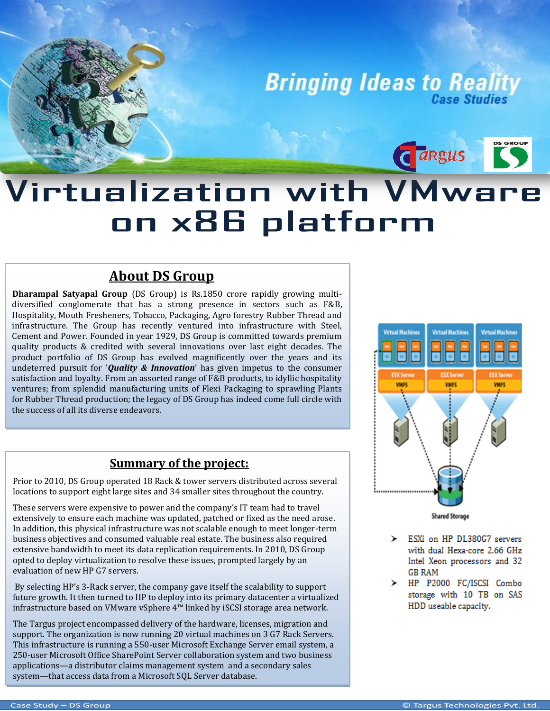**Bringing Ideas to Reality** 

Cargus

# Virtualization with VMware on x86 platform

## **About DS Group**

 satisfaction and loyalty. From an assorted range of F&B products, to idyllic hospitality **Dharampal Satyapal Group** (DS Group) is Rs.1850 crore rapidly growing multidiversified conglomerate that has a strong presence in sectors such as F&B, Hospitality, Mouth Fresheners, Tobacco, Packaging, Agro forestry Rubber Thread and infrastructure. The Group has recently ventured into infrastructure with Steel, Cement and Power. Founded in year 1929, DS Group is committed towards premium quality products & credited with several innovations over last eight decades. The product portfolio of DS Group has evolved magnificently over the years and its undeterred pursuit for '*Quality & Innovation*' has given impetus to the consumer ventures; from splendid manufacturing units of Flexi Packaging to sprawling Plants for Rubber Thread production; the legacy of DS Group has indeed come full circle with the success of all its diverse endeavors.

## **Summary of the project:**

Prior to 2010, DS Group operated 18 Rack & tower servers distributed across several locations to support eight large sites and 34 smaller sites throughout the country.

These servers were expensive to power and the company's IT team had to travel extensively to ensure each machine was updated, patched or fixed as the need arose. In addition, this physical infrastructure was not scalable enough to meet longer-term business objectives and consumed valuable real estate. The business also required extensive bandwidth to meet its data replication requirements. In 2010, DS Group opted to deploy virtualization to resolve these issues, prompted largely by an evaluation of new HP G7 servers.

By selecting HP's 3-Rack server, the company gave itself the scalability to support future growth. It then turned to HP to deploy into its primary datacenter a virtualized infrastructure based on VMware vSphere 4™ linked by iSCSI storage area network.

 250-user Microsoft Office SharePoint Server collaboration system and two business applications—a distributor claims management system and a secondary sales system—that access data from a Microsoft SQL Server database. The Targus project encompassed delivery of the hardware, licenses, migration and support. The organization is now running 20 virtual machines on 3 G7 Rack Servers. This infrastructure is running a 550-user Microsoft Exchange Server email system, a



- Þ. ESXi on HP DL380G7 servers with dual Hexa-core 2.66 GHz Intel Xeon processors and 32 **GB RAM**
- > HP P2000 FC/ISCSI Combo storage with 10 TB on SAS HDD useable capacity.